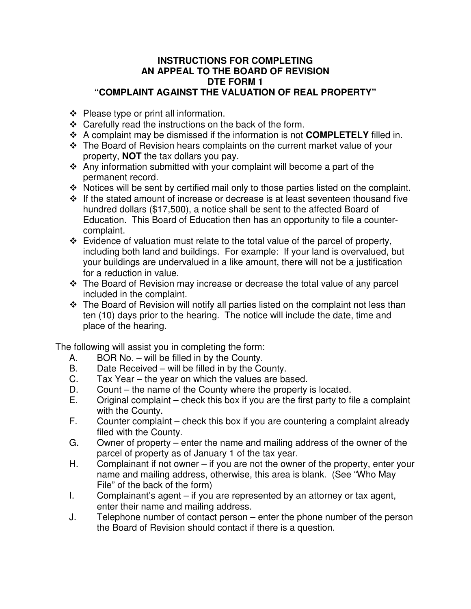## **INSTRUCTIONS FOR COMPLETING AN APPEAL TO THE BOARD OF REVISION DTE FORM 1 "COMPLAINT AGAINST THE VALUATION OF REAL PROPERTY"**

- $\div$  Please type or print all information.
- $\div$  Carefully read the instructions on the back of the form.
- A complaint may be dismissed if the information is not **COMPLETELY** filled in.
- The Board of Revision hears complaints on the current market value of your property, **NOT** the tax dollars you pay.
- $\cdot$  Any information submitted with your complaint will become a part of the permanent record.
- $\cdot$  Notices will be sent by certified mail only to those parties listed on the complaint.
- $\div$  If the stated amount of increase or decrease is at least seventeen thousand five hundred dollars (\$17,500), a notice shall be sent to the affected Board of Education. This Board of Education then has an opportunity to file a countercomplaint.
- $\div$  Evidence of valuation must relate to the total value of the parcel of property, including both land and buildings. For example: If your land is overvalued, but your buildings are undervalued in a like amount, there will not be a justification for a reduction in value.
- The Board of Revision may increase or decrease the total value of any parcel included in the complaint.
- The Board of Revision will notify all parties listed on the complaint not less than ten (10) days prior to the hearing. The notice will include the date, time and place of the hearing.

The following will assist you in completing the form:

- A. BOR No. will be filled in by the County.
- B. Date Received will be filled in by the County.
- C. Tax Year the year on which the values are based.
- D. Count the name of the County where the property is located.
- E. Original complaint check this box if you are the first party to file a complaint with the County.
- F. Counter complaint check this box if you are countering a complaint already filed with the County.
- G. Owner of property enter the name and mailing address of the owner of the parcel of property as of January 1 of the tax year.
- H. Complainant if not owner if you are not the owner of the property, enter your name and mailing address, otherwise, this area is blank. (See "Who May File" of the back of the form)
- I. Complainant's agent if you are represented by an attorney or tax agent, enter their name and mailing address.
- J. Telephone number of contact person enter the phone number of the person the Board of Revision should contact if there is a question.